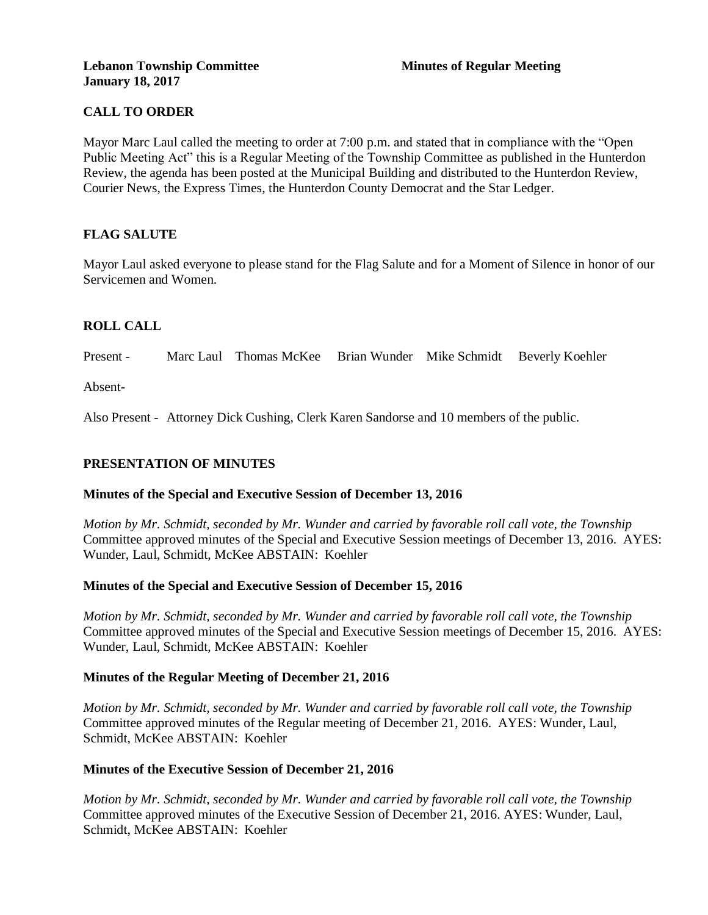# **CALL TO ORDER**

Mayor Marc Laul called the meeting to order at 7:00 p.m. and stated that in compliance with the "Open Public Meeting Act" this is a Regular Meeting of the Township Committee as published in the Hunterdon Review, the agenda has been posted at the Municipal Building and distributed to the Hunterdon Review, Courier News, the Express Times, the Hunterdon County Democrat and the Star Ledger.

# **FLAG SALUTE**

Mayor Laul asked everyone to please stand for the Flag Salute and for a Moment of Silence in honor of our Servicemen and Women.

# **ROLL CALL**

Present - Marc Laul Thomas McKee Brian Wunder Mike Schmidt Beverly Koehler

Absent-

Also Present - Attorney Dick Cushing, Clerk Karen Sandorse and 10 members of the public.

# **PRESENTATION OF MINUTES**

#### **Minutes of the Special and Executive Session of December 13, 2016**

*Motion by Mr. Schmidt, seconded by Mr. Wunder and carried by favorable roll call vote, the Township* Committee approved minutes of the Special and Executive Session meetings of December 13, 2016. AYES: Wunder, Laul, Schmidt, McKee ABSTAIN: Koehler

#### **Minutes of the Special and Executive Session of December 15, 2016**

*Motion by Mr. Schmidt, seconded by Mr. Wunder and carried by favorable roll call vote, the Township* Committee approved minutes of the Special and Executive Session meetings of December 15, 2016. AYES: Wunder, Laul, Schmidt, McKee ABSTAIN: Koehler

#### **Minutes of the Regular Meeting of December 21, 2016**

*Motion by Mr. Schmidt, seconded by Mr. Wunder and carried by favorable roll call vote, the Township* Committee approved minutes of the Regular meeting of December 21, 2016. AYES: Wunder, Laul, Schmidt, McKee ABSTAIN: Koehler

#### **Minutes of the Executive Session of December 21, 2016**

*Motion by Mr. Schmidt, seconded by Mr. Wunder and carried by favorable roll call vote, the Township* Committee approved minutes of the Executive Session of December 21, 2016. AYES: Wunder, Laul, Schmidt, McKee ABSTAIN: Koehler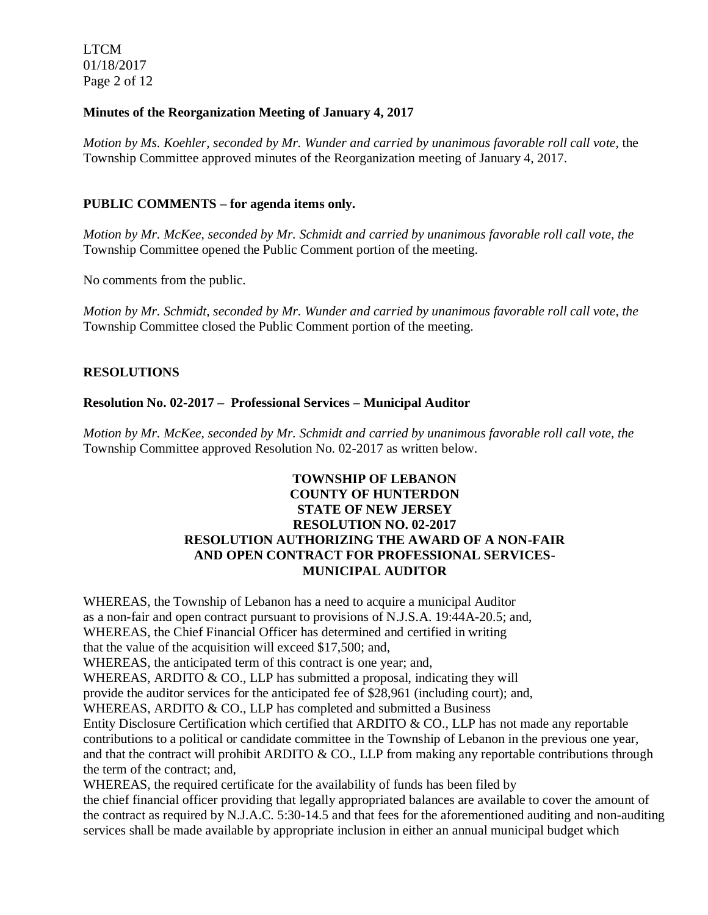LTCM 01/18/2017 Page 2 of 12

### **Minutes of the Reorganization Meeting of January 4, 2017**

*Motion by Ms. Koehler, seconded by Mr. Wunder and carried by unanimous favorable roll call vote,* the Township Committee approved minutes of the Reorganization meeting of January 4, 2017.

### **PUBLIC COMMENTS – for agenda items only.**

*Motion by Mr. McKee, seconded by Mr. Schmidt and carried by unanimous favorable roll call vote, the* Township Committee opened the Public Comment portion of the meeting.

No comments from the public.

*Motion by Mr. Schmidt, seconded by Mr. Wunder and carried by unanimous favorable roll call vote, the* Township Committee closed the Public Comment portion of the meeting.

#### **RESOLUTIONS**

#### **Resolution No. 02-2017 – Professional Services – Municipal Auditor**

*Motion by Mr. McKee, seconded by Mr. Schmidt and carried by unanimous favorable roll call vote, the* Township Committee approved Resolution No. 02-2017 as written below.

# **TOWNSHIP OF LEBANON COUNTY OF HUNTERDON STATE OF NEW JERSEY RESOLUTION NO. 02-2017 RESOLUTION AUTHORIZING THE AWARD OF A NON-FAIR AND OPEN CONTRACT FOR PROFESSIONAL SERVICES-MUNICIPAL AUDITOR**

WHEREAS, the Township of Lebanon has a need to acquire a municipal Auditor as a non-fair and open contract pursuant to provisions of N.J.S.A. 19:44A-20.5; and, WHEREAS, the Chief Financial Officer has determined and certified in writing that the value of the acquisition will exceed \$17,500; and, WHEREAS, the anticipated term of this contract is one year; and, WHEREAS, ARDITO  $& CO$ , LLP has submitted a proposal, indicating they will provide the auditor services for the anticipated fee of \$28,961 (including court); and, WHEREAS, ARDITO & CO., LLP has completed and submitted a Business Entity Disclosure Certification which certified that ARDITO & CO., LLP has not made any reportable contributions to a political or candidate committee in the Township of Lebanon in the previous one year, and that the contract will prohibit ARDITO  $& CO$ , LLP from making any reportable contributions through the term of the contract; and, WHEREAS, the required certificate for the availability of funds has been filed by

the chief financial officer providing that legally appropriated balances are available to cover the amount of the contract as required by N.J.A.C. 5:30-14.5 and that fees for the aforementioned auditing and non-auditing services shall be made available by appropriate inclusion in either an annual municipal budget which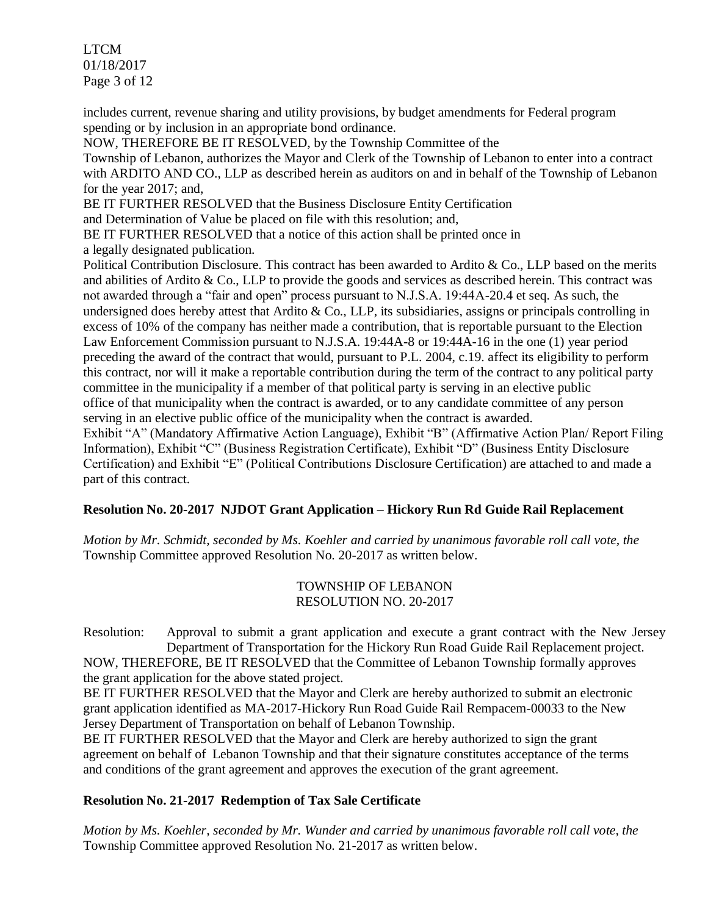LTCM 01/18/2017 Page 3 of 12

includes current, revenue sharing and utility provisions, by budget amendments for Federal program spending or by inclusion in an appropriate bond ordinance.

NOW, THEREFORE BE IT RESOLVED, by the Township Committee of the

Township of Lebanon, authorizes the Mayor and Clerk of the Township of Lebanon to enter into a contract with ARDITO AND CO., LLP as described herein as auditors on and in behalf of the Township of Lebanon for the year 2017; and,

BE IT FURTHER RESOLVED that the Business Disclosure Entity Certification

and Determination of Value be placed on file with this resolution; and,

BE IT FURTHER RESOLVED that a notice of this action shall be printed once in a legally designated publication.

Political Contribution Disclosure. This contract has been awarded to Ardito & Co., LLP based on the merits and abilities of Ardito & Co., LLP to provide the goods and services as described herein. This contract was not awarded through a "fair and open" process pursuant to N.J.S.A. 19:44A-20.4 et seq. As such, the undersigned does hereby attest that Ardito & Co., LLP, its subsidiaries, assigns or principals controlling in excess of 10% of the company has neither made a contribution, that is reportable pursuant to the Election Law Enforcement Commission pursuant to N.J.S.A. 19:44A-8 or 19:44A-16 in the one (1) year period preceding the award of the contract that would, pursuant to P.L. 2004, c.19. affect its eligibility to perform this contract, nor will it make a reportable contribution during the term of the contract to any political party committee in the municipality if a member of that political party is serving in an elective public office of that municipality when the contract is awarded, or to any candidate committee of any person serving in an elective public office of the municipality when the contract is awarded.

Exhibit "A" (Mandatory Affirmative Action Language), Exhibit "B" (Affirmative Action Plan/ Report Filing Information), Exhibit "C" (Business Registration Certificate), Exhibit "D" (Business Entity Disclosure Certification) and Exhibit "E" (Political Contributions Disclosure Certification) are attached to and made a part of this contract.

# **Resolution No. 20-2017 NJDOT Grant Application – Hickory Run Rd Guide Rail Replacement**

*Motion by Mr. Schmidt, seconded by Ms. Koehler and carried by unanimous favorable roll call vote, the* Township Committee approved Resolution No. 20-2017 as written below.

> TOWNSHIP OF LEBANON RESOLUTION NO. 20-2017

Resolution: Approval to submit a grant application and execute a grant contract with the New Jersey Department of Transportation for the Hickory Run Road Guide Rail Replacement project. NOW, THEREFORE, BE IT RESOLVED that the Committee of Lebanon Township formally approves the grant application for the above stated project.

BE IT FURTHER RESOLVED that the Mayor and Clerk are hereby authorized to submit an electronic grant application identified as MA-2017-Hickory Run Road Guide Rail Rempacem-00033 to the New Jersey Department of Transportation on behalf of Lebanon Township.

BE IT FURTHER RESOLVED that the Mayor and Clerk are hereby authorized to sign the grant agreement on behalf of Lebanon Township and that their signature constitutes acceptance of the terms and conditions of the grant agreement and approves the execution of the grant agreement.

# **Resolution No. 21-2017 Redemption of Tax Sale Certificate**

*Motion by Ms. Koehler, seconded by Mr. Wunder and carried by unanimous favorable roll call vote, the* Township Committee approved Resolution No. 21-2017 as written below.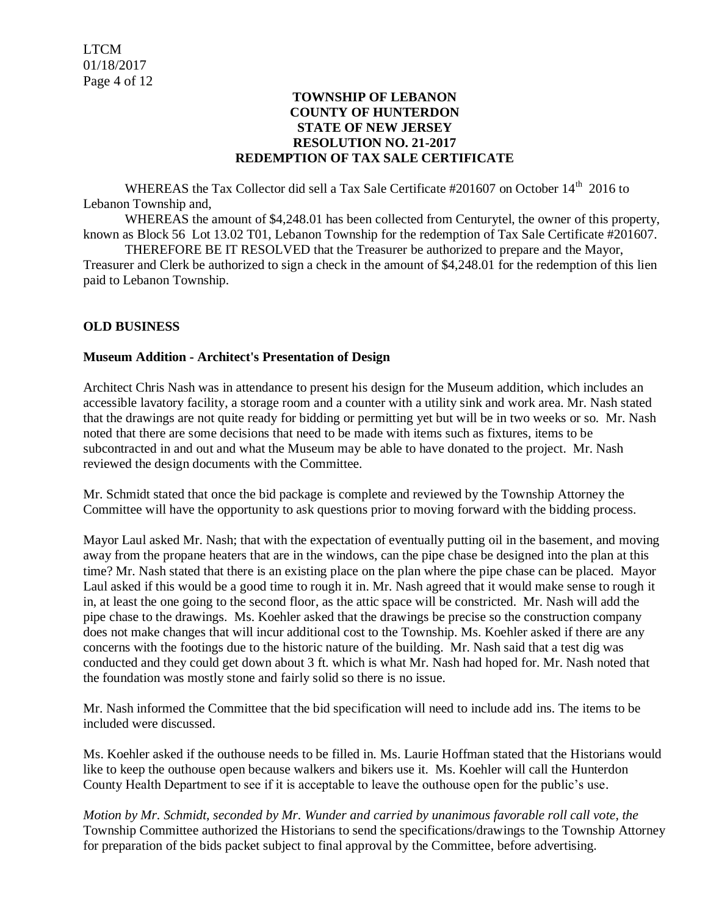### **TOWNSHIP OF LEBANON COUNTY OF HUNTERDON STATE OF NEW JERSEY RESOLUTION NO. 21-2017 REDEMPTION OF TAX SALE CERTIFICATE**

WHEREAS the Tax Collector did sell a Tax Sale Certificate #201607 on October 14<sup>th</sup> 2016 to Lebanon Township and,

WHEREAS the amount of \$4,248.01 has been collected from Centurytel, the owner of this property, known as Block 56 Lot 13.02 T01, Lebanon Township for the redemption of Tax Sale Certificate #201607.

THEREFORE BE IT RESOLVED that the Treasurer be authorized to prepare and the Mayor, Treasurer and Clerk be authorized to sign a check in the amount of \$4,248.01 for the redemption of this lien paid to Lebanon Township.

# **OLD BUSINESS**

#### **Museum Addition - Architect's Presentation of Design**

Architect Chris Nash was in attendance to present his design for the Museum addition, which includes an accessible lavatory facility, a storage room and a counter with a utility sink and work area. Mr. Nash stated that the drawings are not quite ready for bidding or permitting yet but will be in two weeks or so. Mr. Nash noted that there are some decisions that need to be made with items such as fixtures, items to be subcontracted in and out and what the Museum may be able to have donated to the project. Mr. Nash reviewed the design documents with the Committee.

Mr. Schmidt stated that once the bid package is complete and reviewed by the Township Attorney the Committee will have the opportunity to ask questions prior to moving forward with the bidding process.

Mayor Laul asked Mr. Nash; that with the expectation of eventually putting oil in the basement, and moving away from the propane heaters that are in the windows, can the pipe chase be designed into the plan at this time? Mr. Nash stated that there is an existing place on the plan where the pipe chase can be placed. Mayor Laul asked if this would be a good time to rough it in. Mr. Nash agreed that it would make sense to rough it in, at least the one going to the second floor, as the attic space will be constricted. Mr. Nash will add the pipe chase to the drawings. Ms. Koehler asked that the drawings be precise so the construction company does not make changes that will incur additional cost to the Township. Ms. Koehler asked if there are any concerns with the footings due to the historic nature of the building. Mr. Nash said that a test dig was conducted and they could get down about 3 ft. which is what Mr. Nash had hoped for. Mr. Nash noted that the foundation was mostly stone and fairly solid so there is no issue.

Mr. Nash informed the Committee that the bid specification will need to include add ins. The items to be included were discussed.

Ms. Koehler asked if the outhouse needs to be filled in. Ms. Laurie Hoffman stated that the Historians would like to keep the outhouse open because walkers and bikers use it. Ms. Koehler will call the Hunterdon County Health Department to see if it is acceptable to leave the outhouse open for the public's use.

*Motion by Mr. Schmidt, seconded by Mr. Wunder and carried by unanimous favorable roll call vote, the* Township Committee authorized the Historians to send the specifications/drawings to the Township Attorney for preparation of the bids packet subject to final approval by the Committee, before advertising.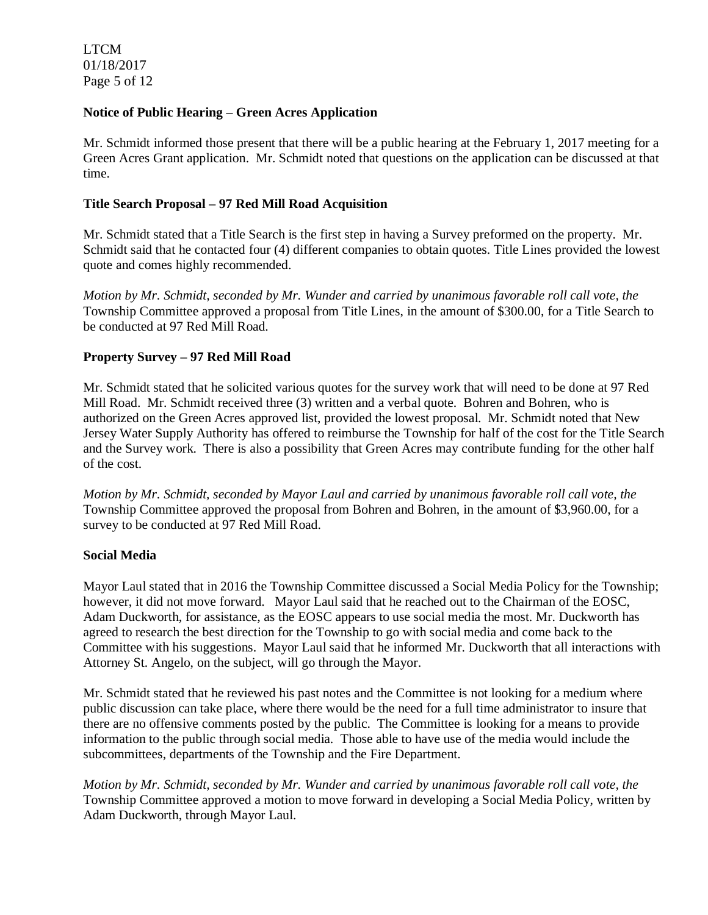LTCM 01/18/2017 Page 5 of 12

### **Notice of Public Hearing – Green Acres Application**

Mr. Schmidt informed those present that there will be a public hearing at the February 1, 2017 meeting for a Green Acres Grant application. Mr. Schmidt noted that questions on the application can be discussed at that time.

#### **Title Search Proposal – 97 Red Mill Road Acquisition**

Mr. Schmidt stated that a Title Search is the first step in having a Survey preformed on the property. Mr. Schmidt said that he contacted four (4) different companies to obtain quotes. Title Lines provided the lowest quote and comes highly recommended.

*Motion by Mr. Schmidt, seconded by Mr. Wunder and carried by unanimous favorable roll call vote, the* Township Committee approved a proposal from Title Lines, in the amount of \$300.00, for a Title Search to be conducted at 97 Red Mill Road.

#### **Property Survey – 97 Red Mill Road**

Mr. Schmidt stated that he solicited various quotes for the survey work that will need to be done at 97 Red Mill Road. Mr. Schmidt received three (3) written and a verbal quote. Bohren and Bohren, who is authorized on the Green Acres approved list, provided the lowest proposal. Mr. Schmidt noted that New Jersey Water Supply Authority has offered to reimburse the Township for half of the cost for the Title Search and the Survey work. There is also a possibility that Green Acres may contribute funding for the other half of the cost.

*Motion by Mr. Schmidt, seconded by Mayor Laul and carried by unanimous favorable roll call vote, the* Township Committee approved the proposal from Bohren and Bohren, in the amount of \$3,960.00, for a survey to be conducted at 97 Red Mill Road.

#### **Social Media**

Mayor Laul stated that in 2016 the Township Committee discussed a Social Media Policy for the Township; however, it did not move forward. Mayor Laul said that he reached out to the Chairman of the EOSC, Adam Duckworth, for assistance, as the EOSC appears to use social media the most. Mr. Duckworth has agreed to research the best direction for the Township to go with social media and come back to the Committee with his suggestions. Mayor Laul said that he informed Mr. Duckworth that all interactions with Attorney St. Angelo, on the subject, will go through the Mayor.

Mr. Schmidt stated that he reviewed his past notes and the Committee is not looking for a medium where public discussion can take place, where there would be the need for a full time administrator to insure that there are no offensive comments posted by the public. The Committee is looking for a means to provide information to the public through social media. Those able to have use of the media would include the subcommittees, departments of the Township and the Fire Department.

*Motion by Mr. Schmidt, seconded by Mr. Wunder and carried by unanimous favorable roll call vote, the* Township Committee approved a motion to move forward in developing a Social Media Policy, written by Adam Duckworth, through Mayor Laul.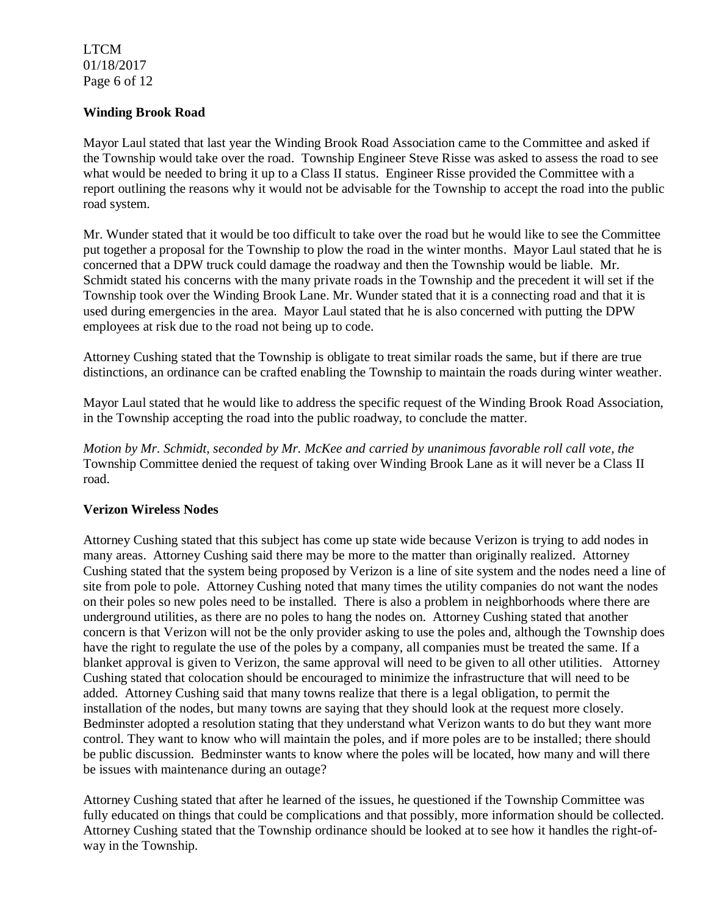LTCM 01/18/2017 Page 6 of 12

### **Winding Brook Road**

Mayor Laul stated that last year the Winding Brook Road Association came to the Committee and asked if the Township would take over the road. Township Engineer Steve Risse was asked to assess the road to see what would be needed to bring it up to a Class II status. Engineer Risse provided the Committee with a report outlining the reasons why it would not be advisable for the Township to accept the road into the public road system.

Mr. Wunder stated that it would be too difficult to take over the road but he would like to see the Committee put together a proposal for the Township to plow the road in the winter months. Mayor Laul stated that he is concerned that a DPW truck could damage the roadway and then the Township would be liable. Mr. Schmidt stated his concerns with the many private roads in the Township and the precedent it will set if the Township took over the Winding Brook Lane. Mr. Wunder stated that it is a connecting road and that it is used during emergencies in the area. Mayor Laul stated that he is also concerned with putting the DPW employees at risk due to the road not being up to code.

Attorney Cushing stated that the Township is obligate to treat similar roads the same, but if there are true distinctions, an ordinance can be crafted enabling the Township to maintain the roads during winter weather.

Mayor Laul stated that he would like to address the specific request of the Winding Brook Road Association, in the Township accepting the road into the public roadway, to conclude the matter.

*Motion by Mr. Schmidt, seconded by Mr. McKee and carried by unanimous favorable roll call vote, the* Township Committee denied the request of taking over Winding Brook Lane as it will never be a Class II road.

# **Verizon Wireless Nodes**

Attorney Cushing stated that this subject has come up state wide because Verizon is trying to add nodes in many areas. Attorney Cushing said there may be more to the matter than originally realized. Attorney Cushing stated that the system being proposed by Verizon is a line of site system and the nodes need a line of site from pole to pole. Attorney Cushing noted that many times the utility companies do not want the nodes on their poles so new poles need to be installed. There is also a problem in neighborhoods where there are underground utilities, as there are no poles to hang the nodes on. Attorney Cushing stated that another concern is that Verizon will not be the only provider asking to use the poles and, although the Township does have the right to regulate the use of the poles by a company, all companies must be treated the same. If a blanket approval is given to Verizon, the same approval will need to be given to all other utilities. Attorney Cushing stated that colocation should be encouraged to minimize the infrastructure that will need to be added. Attorney Cushing said that many towns realize that there is a legal obligation, to permit the installation of the nodes, but many towns are saying that they should look at the request more closely. Bedminster adopted a resolution stating that they understand what Verizon wants to do but they want more control. They want to know who will maintain the poles, and if more poles are to be installed; there should be public discussion. Bedminster wants to know where the poles will be located, how many and will there be issues with maintenance during an outage?

Attorney Cushing stated that after he learned of the issues, he questioned if the Township Committee was fully educated on things that could be complications and that possibly, more information should be collected. Attorney Cushing stated that the Township ordinance should be looked at to see how it handles the right-ofway in the Township.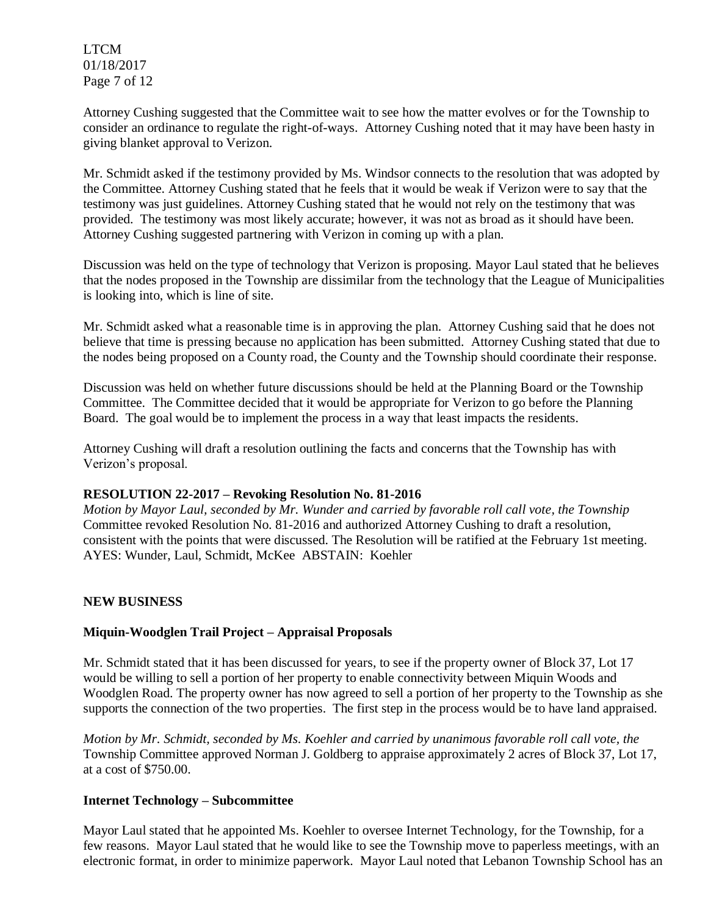LTCM 01/18/2017 Page 7 of 12

Attorney Cushing suggested that the Committee wait to see how the matter evolves or for the Township to consider an ordinance to regulate the right-of-ways. Attorney Cushing noted that it may have been hasty in giving blanket approval to Verizon.

Mr. Schmidt asked if the testimony provided by Ms. Windsor connects to the resolution that was adopted by the Committee. Attorney Cushing stated that he feels that it would be weak if Verizon were to say that the testimony was just guidelines. Attorney Cushing stated that he would not rely on the testimony that was provided. The testimony was most likely accurate; however, it was not as broad as it should have been. Attorney Cushing suggested partnering with Verizon in coming up with a plan.

Discussion was held on the type of technology that Verizon is proposing. Mayor Laul stated that he believes that the nodes proposed in the Township are dissimilar from the technology that the League of Municipalities is looking into, which is line of site.

Mr. Schmidt asked what a reasonable time is in approving the plan. Attorney Cushing said that he does not believe that time is pressing because no application has been submitted. Attorney Cushing stated that due to the nodes being proposed on a County road, the County and the Township should coordinate their response.

Discussion was held on whether future discussions should be held at the Planning Board or the Township Committee. The Committee decided that it would be appropriate for Verizon to go before the Planning Board. The goal would be to implement the process in a way that least impacts the residents.

Attorney Cushing will draft a resolution outlining the facts and concerns that the Township has with Verizon's proposal.

#### **RESOLUTION 22-2017 – Revoking Resolution No. 81-2016**

*Motion by Mayor Laul, seconded by Mr. Wunder and carried by favorable roll call vote, the Township* Committee revoked Resolution No. 81-2016 and authorized Attorney Cushing to draft a resolution, consistent with the points that were discussed. The Resolution will be ratified at the February 1st meeting. AYES: Wunder, Laul, Schmidt, McKee ABSTAIN: Koehler

#### **NEW BUSINESS**

# **Miquin-Woodglen Trail Project – Appraisal Proposals**

Mr. Schmidt stated that it has been discussed for years, to see if the property owner of Block 37, Lot 17 would be willing to sell a portion of her property to enable connectivity between Miquin Woods and Woodglen Road. The property owner has now agreed to sell a portion of her property to the Township as she supports the connection of the two properties. The first step in the process would be to have land appraised.

*Motion by Mr. Schmidt, seconded by Ms. Koehler and carried by unanimous favorable roll call vote, the* Township Committee approved Norman J. Goldberg to appraise approximately 2 acres of Block 37, Lot 17, at a cost of \$750.00.

#### **Internet Technology – Subcommittee**

Mayor Laul stated that he appointed Ms. Koehler to oversee Internet Technology, for the Township, for a few reasons. Mayor Laul stated that he would like to see the Township move to paperless meetings, with an electronic format, in order to minimize paperwork. Mayor Laul noted that Lebanon Township School has an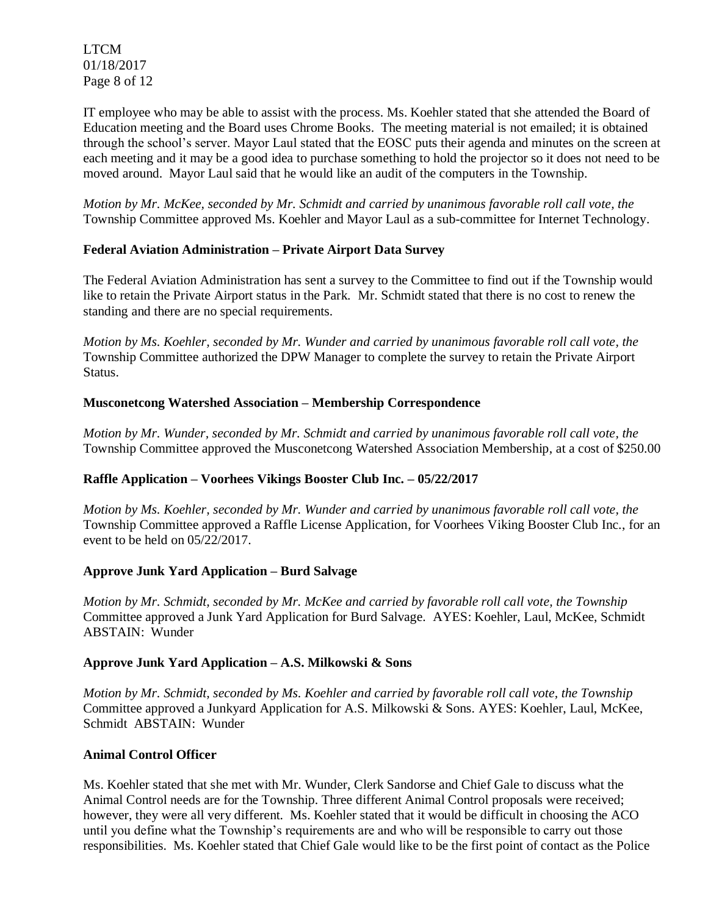LTCM 01/18/2017 Page 8 of 12

IT employee who may be able to assist with the process. Ms. Koehler stated that she attended the Board of Education meeting and the Board uses Chrome Books. The meeting material is not emailed; it is obtained through the school's server. Mayor Laul stated that the EOSC puts their agenda and minutes on the screen at each meeting and it may be a good idea to purchase something to hold the projector so it does not need to be moved around. Mayor Laul said that he would like an audit of the computers in the Township.

*Motion by Mr. McKee, seconded by Mr. Schmidt and carried by unanimous favorable roll call vote, the* Township Committee approved Ms. Koehler and Mayor Laul as a sub-committee for Internet Technology.

# **Federal Aviation Administration – Private Airport Data Survey**

The Federal Aviation Administration has sent a survey to the Committee to find out if the Township would like to retain the Private Airport status in the Park. Mr. Schmidt stated that there is no cost to renew the standing and there are no special requirements.

*Motion by Ms. Koehler, seconded by Mr. Wunder and carried by unanimous favorable roll call vote, the* Township Committee authorized the DPW Manager to complete the survey to retain the Private Airport Status.

# **Musconetcong Watershed Association – Membership Correspondence**

*Motion by Mr. Wunder, seconded by Mr. Schmidt and carried by unanimous favorable roll call vote, the* Township Committee approved the Musconetcong Watershed Association Membership, at a cost of \$250.00

# **Raffle Application – Voorhees Vikings Booster Club Inc. – 05/22/2017**

*Motion by Ms. Koehler, seconded by Mr. Wunder and carried by unanimous favorable roll call vote, the* Township Committee approved a Raffle License Application, for Voorhees Viking Booster Club Inc., for an event to be held on 05/22/2017.

# **Approve Junk Yard Application – Burd Salvage**

*Motion by Mr. Schmidt, seconded by Mr. McKee and carried by favorable roll call vote, the Township* Committee approved a Junk Yard Application for Burd Salvage. AYES: Koehler, Laul, McKee, Schmidt ABSTAIN: Wunder

# **Approve Junk Yard Application – A.S. Milkowski & Sons**

*Motion by Mr. Schmidt, seconded by Ms. Koehler and carried by favorable roll call vote, the Township*  Committee approved a Junkyard Application for A.S. Milkowski & Sons. AYES: Koehler, Laul, McKee, Schmidt ABSTAIN: Wunder

# **Animal Control Officer**

Ms. Koehler stated that she met with Mr. Wunder, Clerk Sandorse and Chief Gale to discuss what the Animal Control needs are for the Township. Three different Animal Control proposals were received; however, they were all very different. Ms. Koehler stated that it would be difficult in choosing the ACO until you define what the Township's requirements are and who will be responsible to carry out those responsibilities. Ms. Koehler stated that Chief Gale would like to be the first point of contact as the Police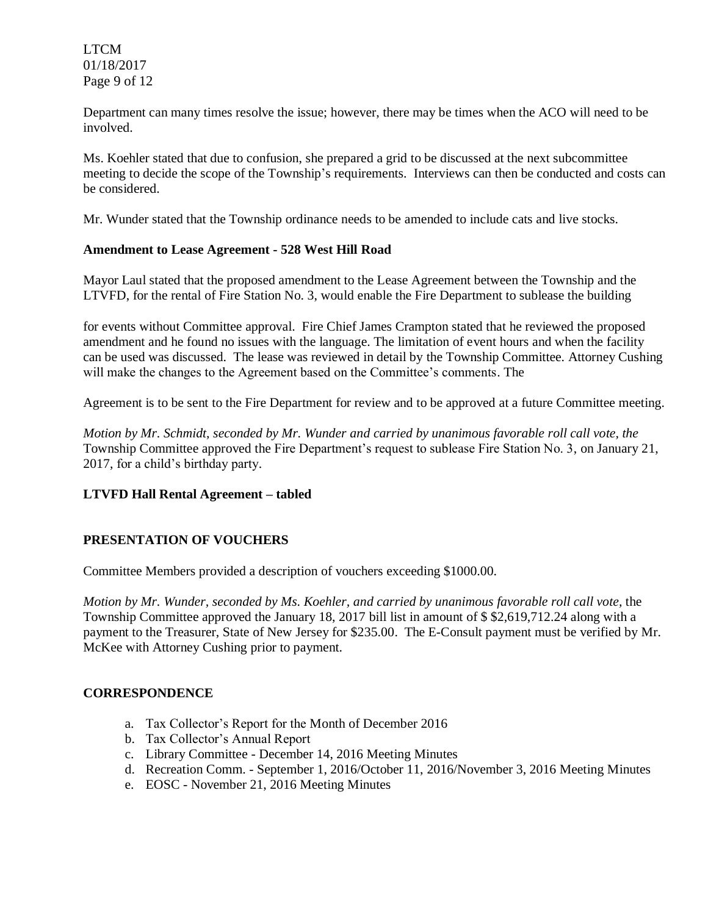LTCM 01/18/2017 Page 9 of 12

Department can many times resolve the issue; however, there may be times when the ACO will need to be involved.

Ms. Koehler stated that due to confusion, she prepared a grid to be discussed at the next subcommittee meeting to decide the scope of the Township's requirements. Interviews can then be conducted and costs can be considered.

Mr. Wunder stated that the Township ordinance needs to be amended to include cats and live stocks.

# **Amendment to Lease Agreement - 528 West Hill Road**

Mayor Laul stated that the proposed amendment to the Lease Agreement between the Township and the LTVFD, for the rental of Fire Station No. 3, would enable the Fire Department to sublease the building

for events without Committee approval. Fire Chief James Crampton stated that he reviewed the proposed amendment and he found no issues with the language. The limitation of event hours and when the facility can be used was discussed. The lease was reviewed in detail by the Township Committee. Attorney Cushing will make the changes to the Agreement based on the Committee's comments. The

Agreement is to be sent to the Fire Department for review and to be approved at a future Committee meeting.

*Motion by Mr. Schmidt, seconded by Mr. Wunder and carried by unanimous favorable roll call vote, the*  Township Committee approved the Fire Department's request to sublease Fire Station No. 3, on January 21, 2017, for a child's birthday party.

# **LTVFD Hall Rental Agreement – tabled**

# **PRESENTATION OF VOUCHERS**

Committee Members provided a description of vouchers exceeding \$1000.00.

*Motion by Mr. Wunder, seconded by Ms. Koehler, and carried by unanimous favorable roll call vote,* the Township Committee approved the January 18, 2017 bill list in amount of \$ \$2,619,712.24 along with a payment to the Treasurer, State of New Jersey for \$235.00. The E-Consult payment must be verified by Mr. McKee with Attorney Cushing prior to payment.

#### **CORRESPONDENCE**

- a. Tax Collector's Report for the Month of December 2016
- b. Tax Collector's Annual Report
- c. Library Committee December 14, 2016 Meeting Minutes
- d. Recreation Comm. September 1, 2016/October 11, 2016/November 3, 2016 Meeting Minutes
- e. EOSC November 21, 2016 Meeting Minutes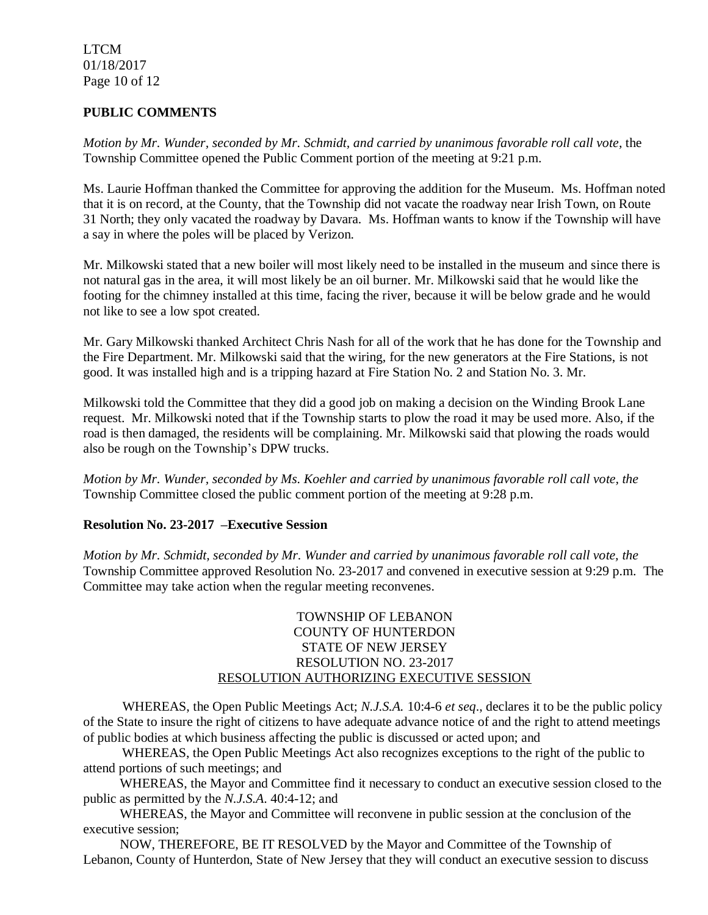LTCM 01/18/2017 Page 10 of 12

# **PUBLIC COMMENTS**

*Motion by Mr. Wunder, seconded by Mr. Schmidt, and carried by unanimous favorable roll call vote,* the Township Committee opened the Public Comment portion of the meeting at 9:21 p.m.

Ms. Laurie Hoffman thanked the Committee for approving the addition for the Museum. Ms. Hoffman noted that it is on record, at the County, that the Township did not vacate the roadway near Irish Town, on Route 31 North; they only vacated the roadway by Davara. Ms. Hoffman wants to know if the Township will have a say in where the poles will be placed by Verizon.

Mr. Milkowski stated that a new boiler will most likely need to be installed in the museum and since there is not natural gas in the area, it will most likely be an oil burner. Mr. Milkowski said that he would like the footing for the chimney installed at this time, facing the river, because it will be below grade and he would not like to see a low spot created.

Mr. Gary Milkowski thanked Architect Chris Nash for all of the work that he has done for the Township and the Fire Department. Mr. Milkowski said that the wiring, for the new generators at the Fire Stations, is not good. It was installed high and is a tripping hazard at Fire Station No. 2 and Station No. 3. Mr.

Milkowski told the Committee that they did a good job on making a decision on the Winding Brook Lane request. Mr. Milkowski noted that if the Township starts to plow the road it may be used more. Also, if the road is then damaged, the residents will be complaining. Mr. Milkowski said that plowing the roads would also be rough on the Township's DPW trucks.

*Motion by Mr. Wunder, seconded by Ms. Koehler and carried by unanimous favorable roll call vote, the* Township Committee closed the public comment portion of the meeting at 9:28 p.m.

# **Resolution No. 23-2017 –Executive Session**

*Motion by Mr. Schmidt, seconded by Mr. Wunder and carried by unanimous favorable roll call vote, the* Township Committee approved Resolution No. 23-2017 and convened in executive session at 9:29 p.m. The Committee may take action when the regular meeting reconvenes.

#### TOWNSHIP OF LEBANON COUNTY OF HUNTERDON STATE OF NEW JERSEY RESOLUTION NO. 23-2017 RESOLUTION AUTHORIZING EXECUTIVE SESSION

WHEREAS, the Open Public Meetings Act; *N.J.S.A.* 10:4-6 *et seq*., declares it to be the public policy of the State to insure the right of citizens to have adequate advance notice of and the right to attend meetings of public bodies at which business affecting the public is discussed or acted upon; and

WHEREAS, the Open Public Meetings Act also recognizes exceptions to the right of the public to attend portions of such meetings; and

 WHEREAS, the Mayor and Committee find it necessary to conduct an executive session closed to the public as permitted by the *N.J.S.A*. 40:4-12; and

 WHEREAS, the Mayor and Committee will reconvene in public session at the conclusion of the executive session;

 NOW, THEREFORE, BE IT RESOLVED by the Mayor and Committee of the Township of Lebanon, County of Hunterdon, State of New Jersey that they will conduct an executive session to discuss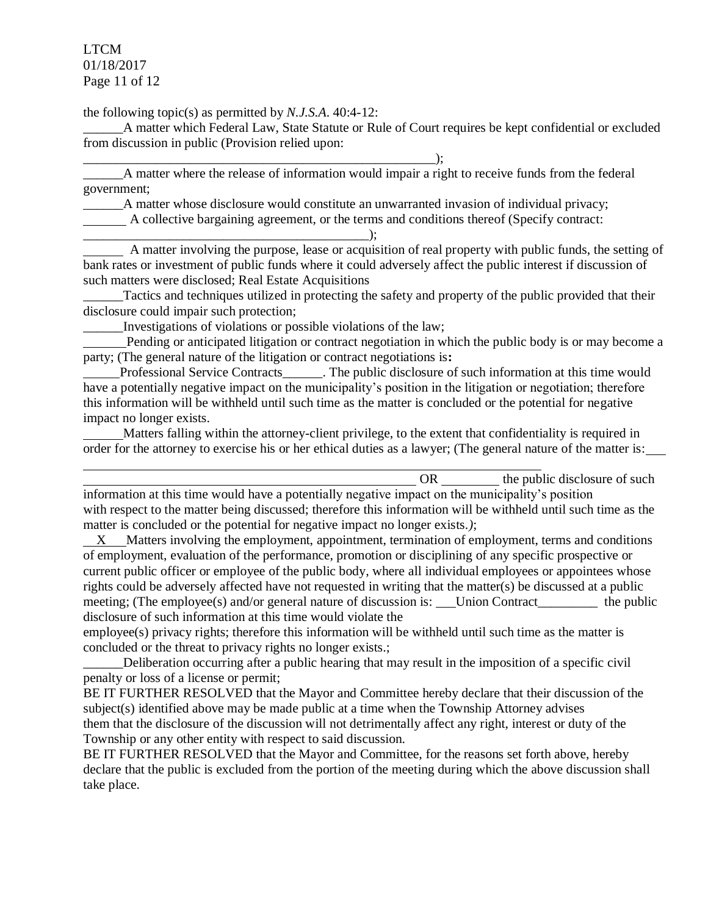LTCM 01/18/2017 Page 11 of 12

the following topic(s) as permitted by *N.J.S.A*. 40:4-12:

\_\_\_\_\_\_A matter which Federal Law, State Statute or Rule of Court requires be kept confidential or excluded from discussion in public (Provision relied upon:

\_\_\_\_\_\_\_\_\_\_\_\_\_\_\_\_\_\_\_\_\_\_\_\_\_\_\_\_\_\_\_\_\_\_\_\_\_\_\_\_\_\_\_\_\_\_\_\_\_\_\_\_\_);

\_\_\_\_\_\_A matter where the release of information would impair a right to receive funds from the federal government;

\_\_\_\_\_\_A matter whose disclosure would constitute an unwarranted invasion of individual privacy;

A collective bargaining agreement, or the terms and conditions thereof (Specify contract:

\_\_\_\_\_\_\_\_\_\_\_\_\_\_\_\_\_\_\_\_\_\_\_\_\_\_\_\_\_\_\_\_\_\_\_\_\_\_\_\_\_\_\_); A matter involving the purpose, lease or acquisition of real property with public funds, the setting of bank rates or investment of public funds where it could adversely affect the public interest if discussion of such matters were disclosed; Real Estate Acquisitions

Tactics and techniques utilized in protecting the safety and property of the public provided that their disclosure could impair such protection;

Investigations of violations or possible violations of the law;

 Pending or anticipated litigation or contract negotiation in which the public body is or may become a party; (The general nature of the litigation or contract negotiations is**:**

 Professional Service Contracts\_\_\_\_\_\_. The public disclosure of such information at this time would have a potentially negative impact on the municipality's position in the litigation or negotiation; therefore this information will be withheld until such time as the matter is concluded or the potential for negative impact no longer exists.

 Matters falling within the attorney-client privilege, to the extent that confidentiality is required in order for the attorney to exercise his or her ethical duties as a lawyer; (The general nature of the matter is:

OR the public disclosure of such information at this time would have a potentially negative impact on the municipality's position with respect to the matter being discussed; therefore this information will be withheld until such time as the matter is concluded or the potential for negative impact no longer exists.*)*;

 X Matters involving the employment, appointment, termination of employment, terms and conditions of employment, evaluation of the performance, promotion or disciplining of any specific prospective or current public officer or employee of the public body, where all individual employees or appointees whose rights could be adversely affected have not requested in writing that the matter(s) be discussed at a public meeting; (The employee(s) and/or general nature of discussion is: Union Contract the public disclosure of such information at this time would violate the

employee(s) privacy rights; therefore this information will be withheld until such time as the matter is concluded or the threat to privacy rights no longer exists.;

Deliberation occurring after a public hearing that may result in the imposition of a specific civil penalty or loss of a license or permit;

BE IT FURTHER RESOLVED that the Mayor and Committee hereby declare that their discussion of the subject(s) identified above may be made public at a time when the Township Attorney advises them that the disclosure of the discussion will not detrimentally affect any right, interest or duty of the Township or any other entity with respect to said discussion.

BE IT FURTHER RESOLVED that the Mayor and Committee, for the reasons set forth above, hereby declare that the public is excluded from the portion of the meeting during which the above discussion shall take place.